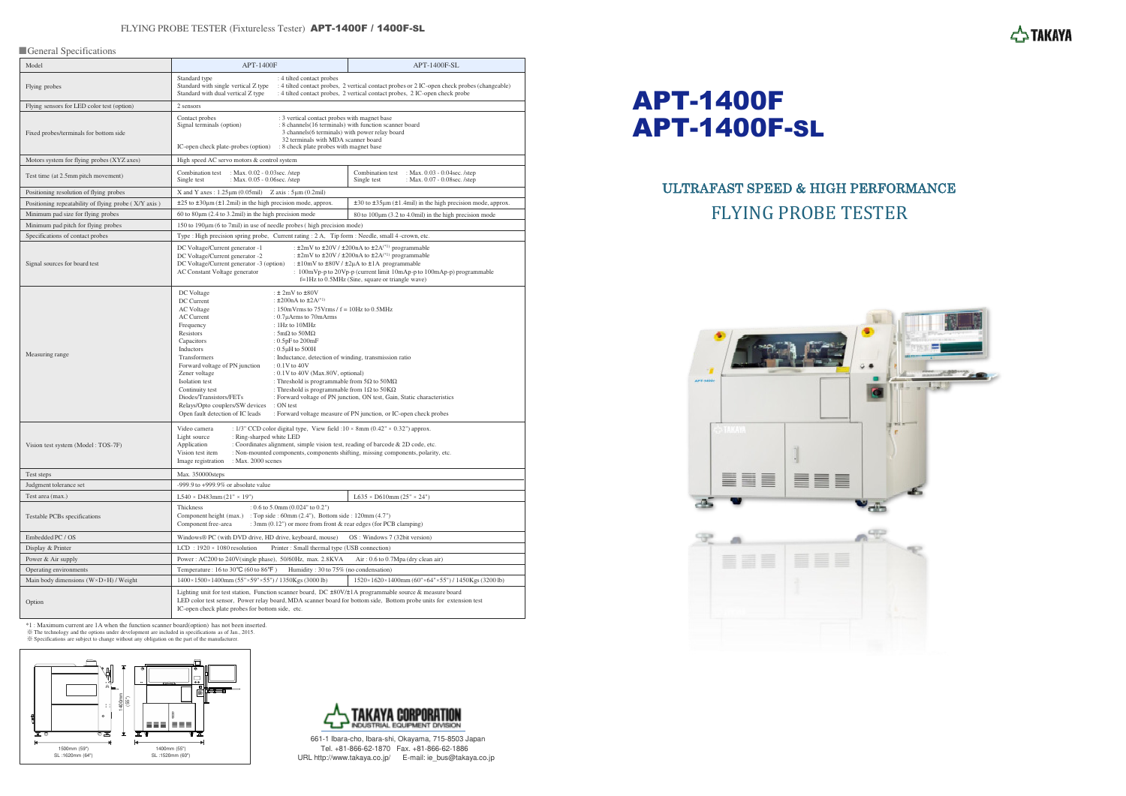### FLYING PROBE TESTER (Fixtureless Tester) **APT-1400F / 1400F-SL**

#### ■ General Specifications

| Model                                                 | <b>APT-1400F</b>                                                                                                                                                                                                                                                                                                                                                                                                                                                                                                                                                                                                                                                                                                                                                                                                                                                                                                                                                                      | APT-1400F-SL                                                                                                                                                               |
|-------------------------------------------------------|---------------------------------------------------------------------------------------------------------------------------------------------------------------------------------------------------------------------------------------------------------------------------------------------------------------------------------------------------------------------------------------------------------------------------------------------------------------------------------------------------------------------------------------------------------------------------------------------------------------------------------------------------------------------------------------------------------------------------------------------------------------------------------------------------------------------------------------------------------------------------------------------------------------------------------------------------------------------------------------|----------------------------------------------------------------------------------------------------------------------------------------------------------------------------|
| Flying probes                                         | Standard type<br>: 4 tilted contact probes<br>Standard with single vertical Z type<br>Standard with dual vertical Z type                                                                                                                                                                                                                                                                                                                                                                                                                                                                                                                                                                                                                                                                                                                                                                                                                                                              | : 4 tilted contact probes, 2 vertical contact probes or 2 IC-open check probes (changeable)<br>: 4 tilted contact probes, 2 vertical contact probes, 2 IC-open check probe |
| Flying sensors for LED color test (option)            | 2 sensors                                                                                                                                                                                                                                                                                                                                                                                                                                                                                                                                                                                                                                                                                                                                                                                                                                                                                                                                                                             |                                                                                                                                                                            |
| Fixed probes/terminals for bottom side                | Contact probes<br>: 3 vertical contact probes with magnet base<br>Signal terminals (option)<br>: 8 channels(16 terminals) with function scanner board<br>3 channels(6 terminals) with power relay board<br>32 terminals with MDA scanner board<br>IC-open check plate-probes (option) : 8 check plate probes with magnet base                                                                                                                                                                                                                                                                                                                                                                                                                                                                                                                                                                                                                                                         |                                                                                                                                                                            |
| Motors system for flying probes (XYZ axes)            | High speed AC servo motors & control system                                                                                                                                                                                                                                                                                                                                                                                                                                                                                                                                                                                                                                                                                                                                                                                                                                                                                                                                           |                                                                                                                                                                            |
| Test time (at 2.5mm pitch movement)                   | Combination test : Max. 0.02 - 0.03 sec. /step<br>Single test<br>: Max. 0.05 - 0.06sec./step                                                                                                                                                                                                                                                                                                                                                                                                                                                                                                                                                                                                                                                                                                                                                                                                                                                                                          | : Max. $0.03 - 0.04$ sec. /step<br>Combination test<br>Single test<br>: Max. 0.07 - 0.08 sec. / step                                                                       |
| Positioning resolution of flying probes               | X and Y axes: $1.25 \mu m (0.05 \text{ mil})$ Z axis: $5 \mu m (0.2 \text{ mil})$                                                                                                                                                                                                                                                                                                                                                                                                                                                                                                                                                                                                                                                                                                                                                                                                                                                                                                     |                                                                                                                                                                            |
| Positioning repeatability of flying probe (X/Y axis)  | $\pm 25$ to $\pm 30\mu$ m ( $\pm 1.2$ mil) in the high precision mode, approx.                                                                                                                                                                                                                                                                                                                                                                                                                                                                                                                                                                                                                                                                                                                                                                                                                                                                                                        | $\pm 30$ to $\pm 35 \mu m$ ( $\pm 1.4$ mil) in the high precision mode, approx.                                                                                            |
| Minimum pad size for flying probes                    | 60 to $80 \mu m$ (2.4 to 3.2mil) in the high precision mode                                                                                                                                                                                                                                                                                                                                                                                                                                                                                                                                                                                                                                                                                                                                                                                                                                                                                                                           | 80 to $100 \mu m$ (3.2 to 4.0mil) in the high precision mode                                                                                                               |
| Minimum pad pitch for flying probes                   | $150$ to $190 \mu m$ (6 to 7mil) in use of needle probes (high precision mode)                                                                                                                                                                                                                                                                                                                                                                                                                                                                                                                                                                                                                                                                                                                                                                                                                                                                                                        |                                                                                                                                                                            |
| Specifications of contact probes                      | Type : High precision spring probe, Current rating : 2 A, Tip form : Needle, small 4-crown, etc.                                                                                                                                                                                                                                                                                                                                                                                                                                                                                                                                                                                                                                                                                                                                                                                                                                                                                      |                                                                                                                                                                            |
| Signal sources for board test                         | : $\pm 2$ mV to $\pm 20$ V / $\pm 200$ nA to $\pm 2A^{(1)}$ programmable<br>DC Voltage/Current generator -1<br>: $\pm 2$ mV to $\pm 20$ V / $\pm 200$ nA to $\pm 2A^{(*1)}$ programmable<br>DC Voltage/Current generator -2<br>DC Voltage/Current generator -3 (option)<br>: $\pm 10$ mV to $\pm 80$ V / $\pm 2\mu$ A to $\pm 1$ A programmable<br>: 100mVp-p to 20Vp-p (current limit 10mAp-p to 100mAp-p) programmable<br>AC Constant Voltage generator<br>$f=1$ Hz to 0.5MHz (Sine, square or triangle wave)                                                                                                                                                                                                                                                                                                                                                                                                                                                                       |                                                                                                                                                                            |
| Measuring range                                       | DC Voltage<br>: $\pm 2mV$ to $\pm 80V$<br>: $\pm 200nA$ to $\pm 2A^{(*1)}$<br>DC Current<br>AC Voltage<br>: 150mVrms to 75Vrms $/ f = 10$ Hz to 0.5MHz<br>AC Current<br>: 0.7µArms to 70mArms<br>Frequency<br>$:1Hz$ to $10MHz$<br>Resistors<br>: $5m\Omega$ to $50M\Omega$<br>Capacitors<br>: $0.5pF$ to $200mF$<br>Inductors<br>: $0.5\mu$ H to $500$ H<br>Transformers<br>: Inductance, detection of winding, transmission ratio<br>Forward voltage of PN junction<br>$: 0.1V$ to 40V<br>Zener voltage<br>$: 0.1V$ to 40V (Max.80V, optional)<br>Isolation test<br>: Threshold is programmable from $5\Omega$ to $50\text{M}\Omega$<br>Continuity test<br>: Threshold is programmable from $1\Omega$ to $50K\Omega$<br>Diodes/Transistors/FETs<br>: Forward voltage of PN junction, ON test, Gain, Static characteristics<br>Relays/Opto couplers/SW devices<br>: ON test<br>Open fault detection of IC leads<br>: Forward voltage measure of PN junction, or IC-open check probes |                                                                                                                                                                            |
| Vision test system (Model: TOS-7F)                    | : 1/3" CCD color digital type, View field : $10 \times 8$ mm ( $0.42$ " $\times 0.32$ ") approx.<br>Video camera<br>Light source<br>: Ring-sharped white LED<br>Application<br>: Coordinates alignment, simple vision test, reading of barcode & 2D code, etc.<br>Vision test item<br>: Non-mounted components, components shifting, missing components, polarity, etc.<br>Image registration<br>: Max. 2000 scenes                                                                                                                                                                                                                                                                                                                                                                                                                                                                                                                                                                   |                                                                                                                                                                            |
| Test steps                                            | Max. 350000steps                                                                                                                                                                                                                                                                                                                                                                                                                                                                                                                                                                                                                                                                                                                                                                                                                                                                                                                                                                      |                                                                                                                                                                            |
| Judgment tolerance set                                | $-999.9$ to $+999.9\%$ or absolute value                                                                                                                                                                                                                                                                                                                                                                                                                                                                                                                                                                                                                                                                                                                                                                                                                                                                                                                                              |                                                                                                                                                                            |
| Test area (max.)                                      | $L540 \times D483$ mm $(21" \times 19")$                                                                                                                                                                                                                                                                                                                                                                                                                                                                                                                                                                                                                                                                                                                                                                                                                                                                                                                                              | $L635 \times D610$ mm $(25" \times 24")$                                                                                                                                   |
| Testable PCBs specifications                          | Thickness<br>: $0.6$ to $5.0$ mm $(0.024"$ to $0.2")$<br>Component height (max.) : Top side : 60mm (2.4"), Bottom side : 120mm (4.7")<br>: 3mm (0.12") or more from front & rear edges (for PCB clamping)<br>Component free-area                                                                                                                                                                                                                                                                                                                                                                                                                                                                                                                                                                                                                                                                                                                                                      |                                                                                                                                                                            |
| Embedded PC / OS                                      | Windows® PC (with DVD drive, HD drive, keyboard, mouse)<br>OS: Windows 7 (32bit version)                                                                                                                                                                                                                                                                                                                                                                                                                                                                                                                                                                                                                                                                                                                                                                                                                                                                                              |                                                                                                                                                                            |
| Display & Printer                                     | LCD: $1920 \times 1080$ resolution<br>Printer : Small thermal type (USB connection)                                                                                                                                                                                                                                                                                                                                                                                                                                                                                                                                                                                                                                                                                                                                                                                                                                                                                                   |                                                                                                                                                                            |
| Power & Air supply                                    | Power: AC200 to 240V(single phase), 50/60Hz, max. 2.8KVA<br>Air: 0.6 to 0.7Mpa (dry clean air)                                                                                                                                                                                                                                                                                                                                                                                                                                                                                                                                                                                                                                                                                                                                                                                                                                                                                        |                                                                                                                                                                            |
| Operating environments                                | Temperature: $16$ to $30^{\circ}$ C (60 to $86^{\circ}$ F)<br>Humidity: 30 to 75% (no condensation)                                                                                                                                                                                                                                                                                                                                                                                                                                                                                                                                                                                                                                                                                                                                                                                                                                                                                   |                                                                                                                                                                            |
| Main body dimensions $(W \times D \times H)$ / Weight | 1400×1500×1400mm (55"×59"×55") / 1350Kgs (3000 lb)                                                                                                                                                                                                                                                                                                                                                                                                                                                                                                                                                                                                                                                                                                                                                                                                                                                                                                                                    | $1520 \times 1620 \times 1400$ mm (60"×64"×55") / 1450Kgs (3200 lb)                                                                                                        |
| Option                                                | Lighting unit for test station, Function scanner board, DC $\pm 80V/\pm 1$ A programmable source & measure board<br>LED color test sensor, Power relay board, MDA scanner board for bottom side, Bottom probe units for extension test<br>IC-open check plate probes for bottom side, etc.                                                                                                                                                                                                                                                                                                                                                                                                                                                                                                                                                                                                                                                                                            |                                                                                                                                                                            |

<sup>\*</sup>I : Maximum current are 1A when the function scanner board(option) has not been inserted.<br>
<sup>\*</sup>※ The technology and the options under development are included in specifications as of Jan, 2015.<br>
\* Specifications are subj





661-1 Ibara-cho, Ibara-shi, Okayama, 715-8503 Japan Tel. +81-866-62-1870 Fax. +81-866-62-1886 URL http://www.takaya.co.jp/ E-mail: ie\_bus@takaya.co.jp

## ULTRAFAST SPEED & HIGH PERFORMANCE FLYING PROBE TESTER







# APT-1400F APT-1400F-SL